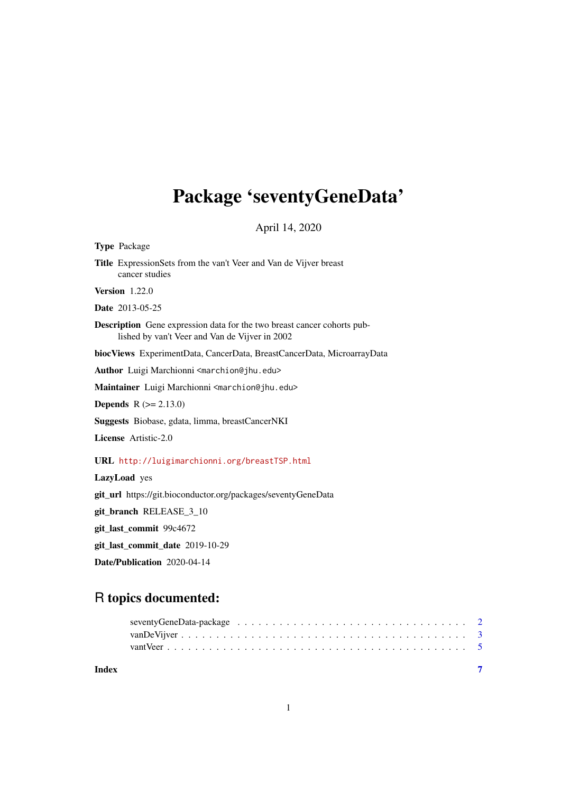## <span id="page-0-0"></span>Package 'seventyGeneData'

April 14, 2020

Type Package

Title ExpressionSets from the van't Veer and Van de Vijver breast cancer studies

Version 1.22.0

Date 2013-05-25

Description Gene expression data for the two breast cancer cohorts published by van't Veer and Van de Vijver in 2002

biocViews ExperimentData, CancerData, BreastCancerData, MicroarrayData

Author Luigi Marchionni <marchion@jhu.edu>

Maintainer Luigi Marchionni <marchion@jhu.edu>

**Depends**  $R (= 2.13.0)$ 

Suggests Biobase, gdata, limma, breastCancerNKI

License Artistic-2.0

#### URL <http://luigimarchionni.org/breastTSP.html>

LazyLoad yes git\_url https://git.bioconductor.org/packages/seventyGeneData git\_branch RELEASE\_3\_10 git\_last\_commit 99c4672 git\_last\_commit\_date 2019-10-29

Date/Publication 2020-04-14

### R topics documented:

| Index |  |  |  |  |  |  |  |  |  |  |  |  |  |  |  |  |
|-------|--|--|--|--|--|--|--|--|--|--|--|--|--|--|--|--|
|       |  |  |  |  |  |  |  |  |  |  |  |  |  |  |  |  |
|       |  |  |  |  |  |  |  |  |  |  |  |  |  |  |  |  |
|       |  |  |  |  |  |  |  |  |  |  |  |  |  |  |  |  |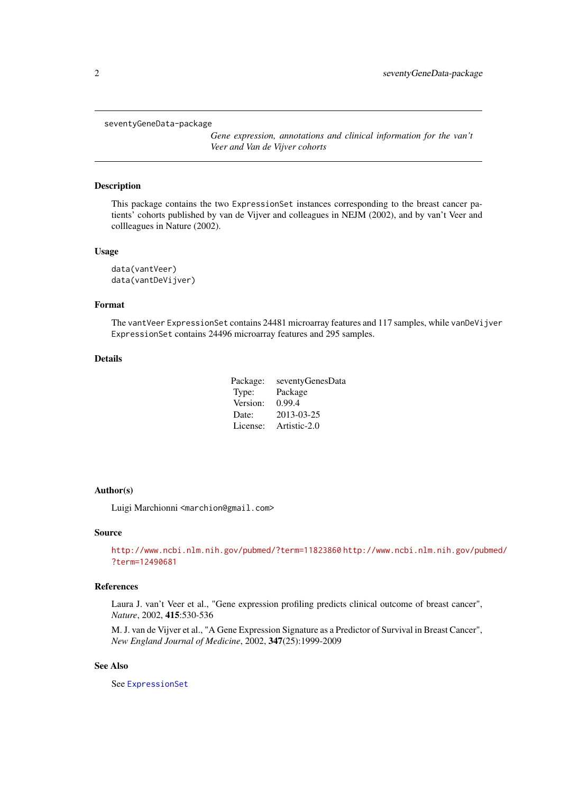#### <span id="page-1-0"></span>seventyGeneData-package

*Gene expression, annotations and clinical information for the van't Veer and Van de Vijver cohorts*

#### Description

This package contains the two ExpressionSet instances corresponding to the breast cancer patients' cohorts published by van de Vijver and colleagues in NEJM (2002), and by van't Veer and collleagues in Nature (2002).

#### Usage

data(vantVeer) data(vantDeVijver)

#### Format

The vantVeer ExpressionSet contains 24481 microarray features and 117 samples, while vanDeVijver ExpressionSet contains 24496 microarray features and 295 samples.

#### Details

| Package: | seventyGenesData |
|----------|------------------|
| Type:    | Package          |
| Version: | 0.99.4           |
| Date:    | 2013-03-25       |
| License: | Artistic-2.0     |

#### Author(s)

Luigi Marchionni <marchion@gmail.com>

#### Source

<http://www.ncbi.nlm.nih.gov/pubmed/?term=11823860> [http://www.ncbi.nlm.nih.gov/pu](http://www.ncbi.nlm.nih.gov/pubmed/?term=12490681)bmed/ [?term=12490681](http://www.ncbi.nlm.nih.gov/pubmed/?term=12490681)

#### References

Laura J. van't Veer et al., "Gene expression profiling predicts clinical outcome of breast cancer", *Nature*, 2002, 415:530-536

M. J. van de Vijver et al., "A Gene Expression Signature as a Predictor of Survival in Breast Cancer", *New England Journal of Medicine*, 2002, 347(25):1999-2009

#### See Also

See [ExpressionSet](#page-0-0)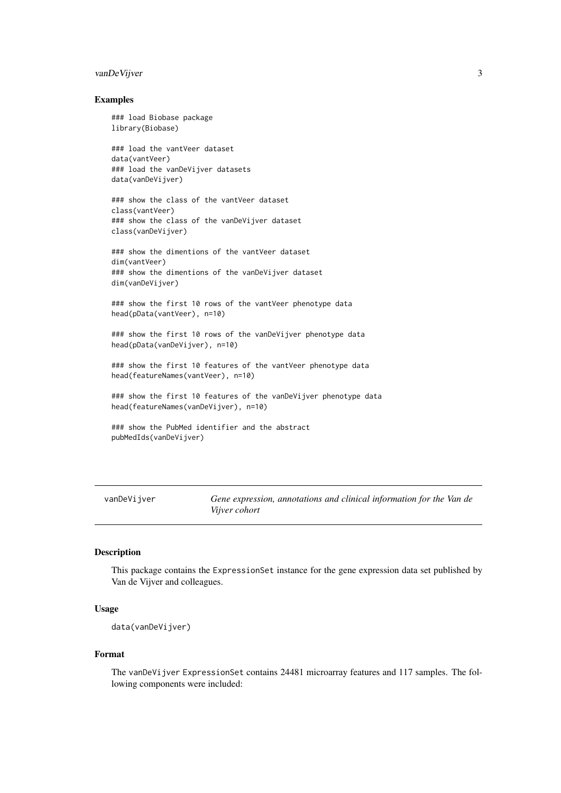#### <span id="page-2-0"></span>vanDeVijver 3

#### Examples

### load Biobase package library(Biobase)

### load the vantVeer dataset data(vantVeer) ### load the vanDeVijver datasets data(vanDeVijver)

### show the class of the vantVeer dataset class(vantVeer) ### show the class of the vanDeVijver dataset class(vanDeVijver)

### show the dimentions of the vantVeer dataset dim(vantVeer) ### show the dimentions of the vanDeVijver dataset dim(vanDeVijver)

### show the first 10 rows of the vantVeer phenotype data head(pData(vantVeer), n=10)

### show the first 10 rows of the vanDeVijver phenotype data head(pData(vanDeVijver), n=10)

### show the first 10 features of the vantVeer phenotype data head(featureNames(vantVeer), n=10)

### show the first 10 features of the vanDeVijver phenotype data head(featureNames(vanDeVijver), n=10)

```
### show the PubMed identifier and the abstract
pubMedIds(vanDeVijver)
```
vanDeVijver *Gene expression, annotations and clinical information for the Van de Vijver cohort*

#### Description

This package contains the ExpressionSet instance for the gene expression data set published by Van de Vijver and colleagues.

#### Usage

data(vanDeVijver)

#### Format

The vanDeVijver ExpressionSet contains 24481 microarray features and 117 samples. The following components were included: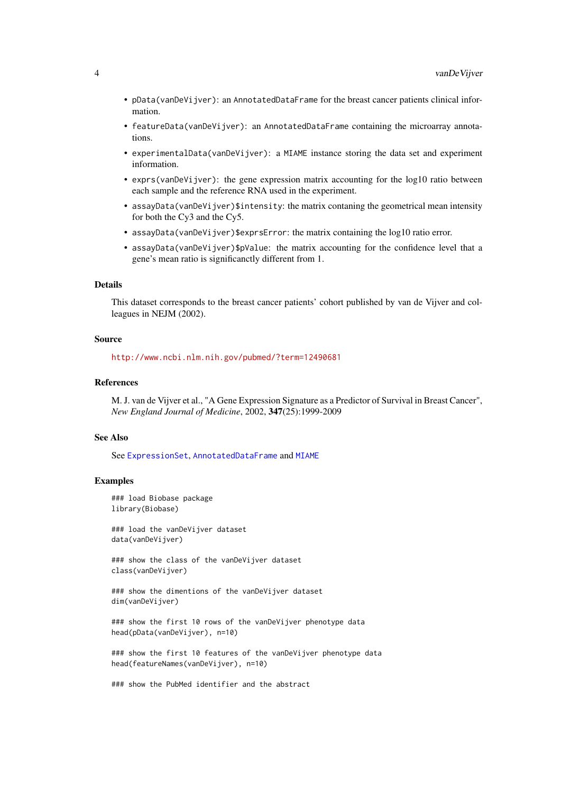- <span id="page-3-0"></span>• pData(vanDeVijver): an AnnotatedDataFrame for the breast cancer patients clinical information.
- featureData(vanDeVijver): an AnnotatedDataFrame containing the microarray annotations.
- experimentalData(vanDeVijver): a MIAME instance storing the data set and experiment information.
- exprs(vanDeVijver): the gene expression matrix accounting for the log10 ratio between each sample and the reference RNA used in the experiment.
- assayData(vanDeVijver)\$intensity: the matrix contaning the geometrical mean intensity for both the Cy3 and the Cy5.
- assayData(vanDeVijver)\$exprsError: the matrix containing the log10 ratio error.
- assayData(vanDeVijver)\$pValue: the matrix accounting for the confidence level that a gene's mean ratio is significanctly different from 1.

#### Details

This dataset corresponds to the breast cancer patients' cohort published by van de Vijver and colleagues in NEJM (2002).

#### Source

<http://www.ncbi.nlm.nih.gov/pubmed/?term=12490681>

#### References

M. J. van de Vijver et al., "A Gene Expression Signature as a Predictor of Survival in Breast Cancer", *New England Journal of Medicine*, 2002, 347(25):1999-2009

#### See Also

See [ExpressionSet](#page-0-0), [AnnotatedDataFrame](#page-0-0) and [MIAME](#page-0-0)

#### Examples

### load Biobase package library(Biobase)

### load the vanDeVijver dataset data(vanDeVijver)

### show the class of the vanDeVijver dataset class(vanDeVijver)

### show the dimentions of the vanDeVijver dataset dim(vanDeVijver)

### show the first 10 rows of the vanDeVijver phenotype data head(pData(vanDeVijver), n=10)

### show the first 10 features of the vanDeVijver phenotype data head(featureNames(vanDeVijver), n=10)

### show the PubMed identifier and the abstract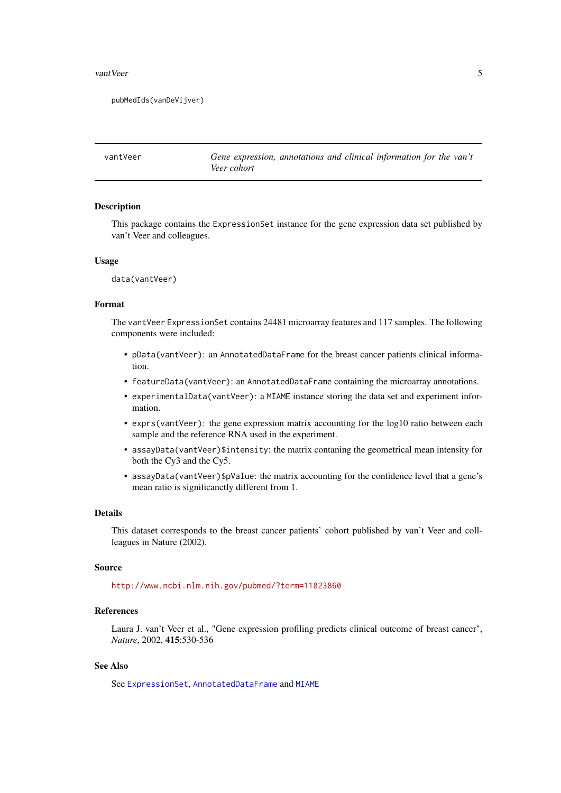<span id="page-4-0"></span>vant Veer 5

```
pubMedIds(vanDeVijver)
```
vantVeer *Gene expression, annotations and clinical information for the van't Veer cohort*

#### Description

This package contains the ExpressionSet instance for the gene expression data set published by van't Veer and colleagues.

#### Usage

data(vantVeer)

#### Format

The vantVeer ExpressionSet contains 24481 microarray features and 117 samples. The following components were included:

- pData(vantVeer): an AnnotatedDataFrame for the breast cancer patients clinical information.
- featureData(vantVeer): an AnnotatedDataFrame containing the microarray annotations.
- experimentalData(vantVeer): a MIAME instance storing the data set and experiment information.
- exprs(vantVeer): the gene expression matrix accounting for the log10 ratio between each sample and the reference RNA used in the experiment.
- assayData(vantVeer)\$intensity: the matrix contaning the geometrical mean intensity for both the Cy3 and the Cy5.
- assayData(vantVeer)\$pValue: the matrix accounting for the confidence level that a gene's mean ratio is significanctly different from 1.

#### Details

This dataset corresponds to the breast cancer patients' cohort published by van't Veer and collleagues in Nature (2002).

#### Source

<http://www.ncbi.nlm.nih.gov/pubmed/?term=11823860>

#### References

Laura J. van't Veer et al., "Gene expression profiling predicts clinical outcome of breast cancer", *Nature*, 2002, 415:530-536

#### See Also

See [ExpressionSet](#page-0-0), [AnnotatedDataFrame](#page-0-0) and [MIAME](#page-0-0)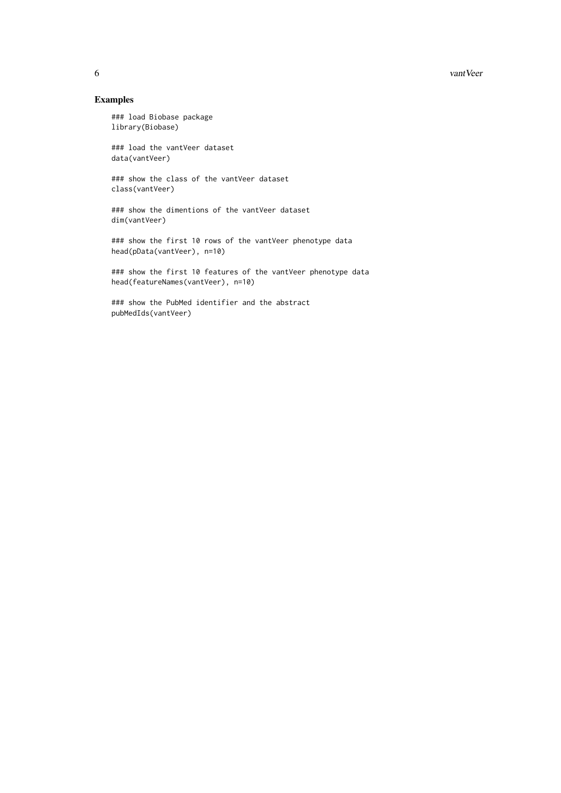#### 6 vantVeer

#### Examples

### load Biobase package library(Biobase)

### load the vantVeer dataset data(vantVeer)

### show the class of the vantVeer dataset class(vantVeer)

### show the dimentions of the vantVeer dataset dim(vantVeer)

### show the first 10 rows of the vantVeer phenotype data head(pData(vantVeer), n=10)

### show the first 10 features of the vantVeer phenotype data head(featureNames(vantVeer), n=10)

### show the PubMed identifier and the abstract pubMedIds(vantVeer)